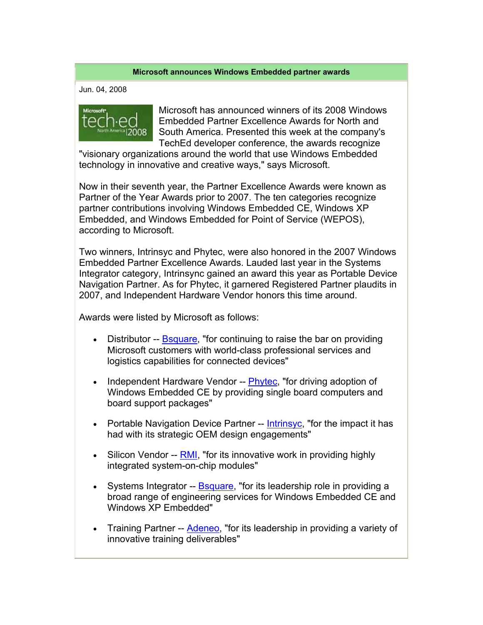## **Microsoft announces Windows Embedded partner awards**

Jun. 04, 2008



Microsoft has announced winners of its 2008 Windows Embedded Partner Excellence Awards for North and South America. Presented this week at the company's TechEd developer conference, the awards recognize

"visionary organizations around the world that use Windows Embedded technology in innovative and creative ways," says Microsoft.

Now in their seventh year, the Partner Excellence Awards were known as Partner of the Year Awards prior to 2007. The ten categories recognize partner contributions involving Windows Embedded CE, Windows XP Embedded, and Windows Embedded for Point of Service (WEPOS), according to Microsoft.

Two winners, Intrinsyc and Phytec, were also honored in the 2007 Windows Embedded Partner Excellence Awards. Lauded last year in the Systems Integrator category, Intrinsync gained an award this year as Portable Device Navigation Partner. As for Phytec, it garnered Registered Partner plaudits in 2007, and Independent Hardware Vendor honors this time around.

Awards were listed by Microsoft as follows:

- Distributor -- Bsquare, "for continuing to raise the bar on providing Microsoft customers with world-class professional services and logistics capabilities for connected devices"
- Independent Hardware Vendor -- **Phytec**, "for driving adoption of Windows Embedded CE by providing single board computers and board support packages"
- Portable Navigation Device Partner -- Intrinsyc, "for the impact it has had with its strategic OEM design engagements"
- Silicon Vendor --  $RML$ , "for its innovative work in providing highly integrated system-on-chip modules"
- Systems Integrator -- Bsquare, "for its leadership role in providing a broad range of engineering services for Windows Embedded CE and Windows XP Embedded"
- Training Partner -- **Adeneo**, "for its leadership in providing a variety of innovative training deliverables"